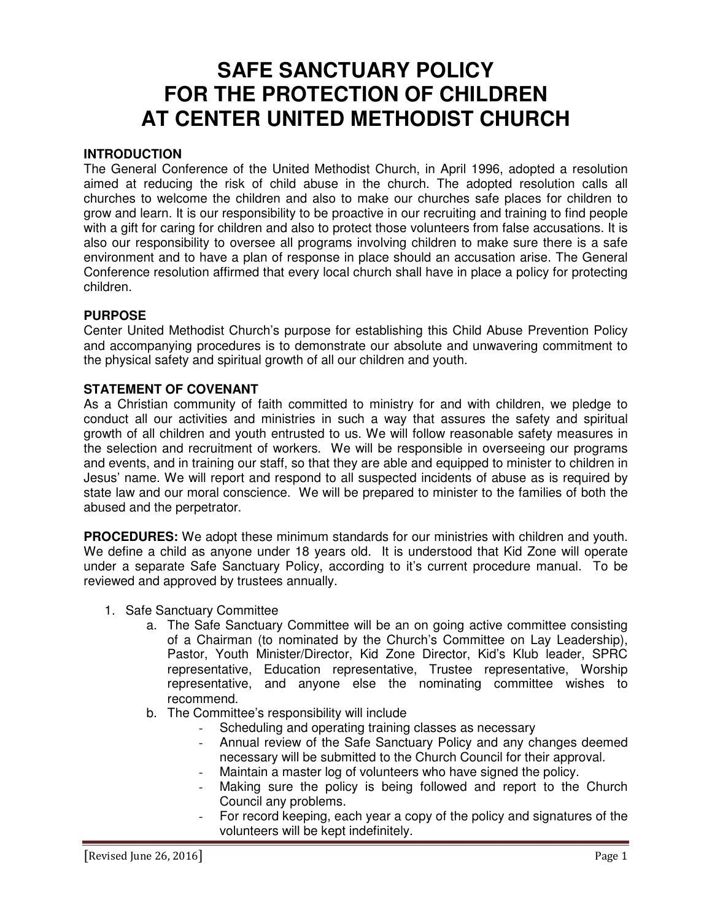# **SAFE SANCTUARY POLICY FOR THE PROTECTION OF CHILDREN AT CENTER UNITED METHODIST CHURCH**

## **INTRODUCTION**

The General Conference of the United Methodist Church, in April 1996, adopted a resolution aimed at reducing the risk of child abuse in the church. The adopted resolution calls all churches to welcome the children and also to make our churches safe places for children to grow and learn. It is our responsibility to be proactive in our recruiting and training to find people with a gift for caring for children and also to protect those volunteers from false accusations. It is also our responsibility to oversee all programs involving children to make sure there is a safe environment and to have a plan of response in place should an accusation arise. The General Conference resolution affirmed that every local church shall have in place a policy for protecting children.

### **PURPOSE**

Center United Methodist Church's purpose for establishing this Child Abuse Prevention Policy and accompanying procedures is to demonstrate our absolute and unwavering commitment to the physical safety and spiritual growth of all our children and youth.

### **STATEMENT OF COVENANT**

As a Christian community of faith committed to ministry for and with children, we pledge to conduct all our activities and ministries in such a way that assures the safety and spiritual growth of all children and youth entrusted to us. We will follow reasonable safety measures in the selection and recruitment of workers. We will be responsible in overseeing our programs and events, and in training our staff, so that they are able and equipped to minister to children in Jesus' name. We will report and respond to all suspected incidents of abuse as is required by state law and our moral conscience. We will be prepared to minister to the families of both the abused and the perpetrator.

**PROCEDURES:** We adopt these minimum standards for our ministries with children and youth. We define a child as anyone under 18 years old. It is understood that Kid Zone will operate under a separate Safe Sanctuary Policy, according to it's current procedure manual. To be reviewed and approved by trustees annually.

- 1. Safe Sanctuary Committee
	- a. The Safe Sanctuary Committee will be an on going active committee consisting of a Chairman (to nominated by the Church's Committee on Lay Leadership), Pastor, Youth Minister/Director, Kid Zone Director, Kid's Klub leader, SPRC representative, Education representative, Trustee representative, Worship representative, and anyone else the nominating committee wishes to recommend.
	- b. The Committee's responsibility will include
		- Scheduling and operating training classes as necessary
		- Annual review of the Safe Sanctuary Policy and any changes deemed necessary will be submitted to the Church Council for their approval.
		- Maintain a master log of volunteers who have signed the policy.
		- Making sure the policy is being followed and report to the Church Council any problems.
		- For record keeping, each year a copy of the policy and signatures of the volunteers will be kept indefinitely.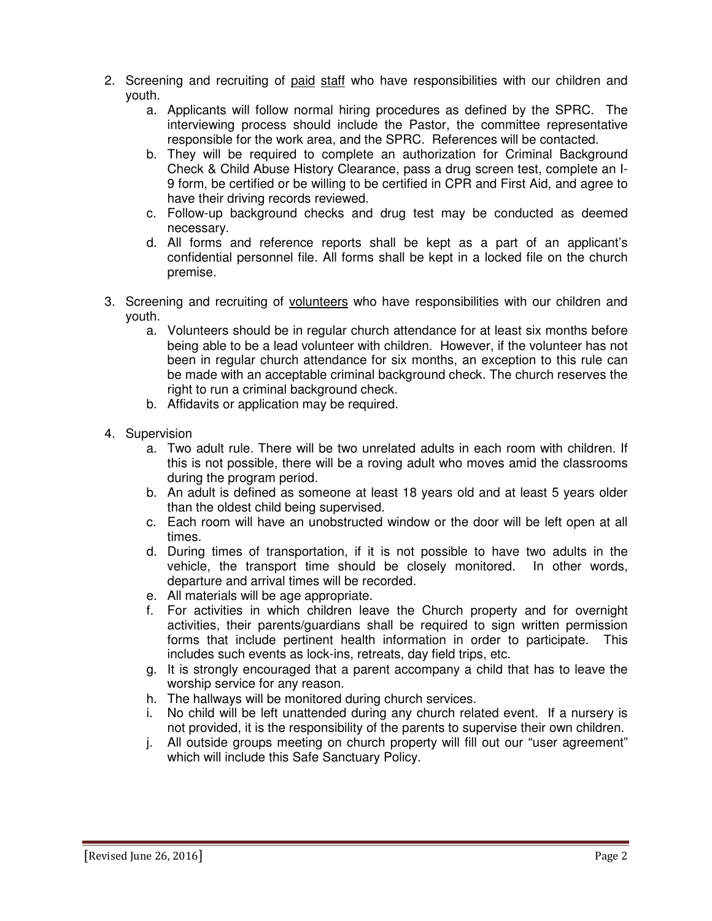- 2. Screening and recruiting of paid staff who have responsibilities with our children and youth.
	- a. Applicants will follow normal hiring procedures as defined by the SPRC. The interviewing process should include the Pastor, the committee representative responsible for the work area, and the SPRC. References will be contacted.
	- b. They will be required to complete an authorization for Criminal Background Check & Child Abuse History Clearance, pass a drug screen test, complete an I-9 form, be certified or be willing to be certified in CPR and First Aid, and agree to have their driving records reviewed.
	- c. Follow-up background checks and drug test may be conducted as deemed necessary.
	- d. All forms and reference reports shall be kept as a part of an applicant's confidential personnel file. All forms shall be kept in a locked file on the church premise.
- 3. Screening and recruiting of volunteers who have responsibilities with our children and youth.
	- a. Volunteers should be in regular church attendance for at least six months before being able to be a lead volunteer with children. However, if the volunteer has not been in regular church attendance for six months, an exception to this rule can be made with an acceptable criminal background check. The church reserves the right to run a criminal background check.
	- b. Affidavits or application may be required.
- 4. Supervision
	- a. Two adult rule. There will be two unrelated adults in each room with children. If this is not possible, there will be a roving adult who moves amid the classrooms during the program period.
	- b. An adult is defined as someone at least 18 years old and at least 5 years older than the oldest child being supervised.
	- c. Each room will have an unobstructed window or the door will be left open at all times.
	- d. During times of transportation, if it is not possible to have two adults in the vehicle, the transport time should be closely monitored. In other words, departure and arrival times will be recorded.
	- e. All materials will be age appropriate.
	- f. For activities in which children leave the Church property and for overnight activities, their parents/guardians shall be required to sign written permission forms that include pertinent health information in order to participate. This includes such events as lock-ins, retreats, day field trips, etc.
	- g. It is strongly encouraged that a parent accompany a child that has to leave the worship service for any reason.
	- h. The hallways will be monitored during church services.
	- i. No child will be left unattended during any church related event. If a nursery is not provided, it is the responsibility of the parents to supervise their own children.
	- j. All outside groups meeting on church property will fill out our "user agreement" which will include this Safe Sanctuary Policy.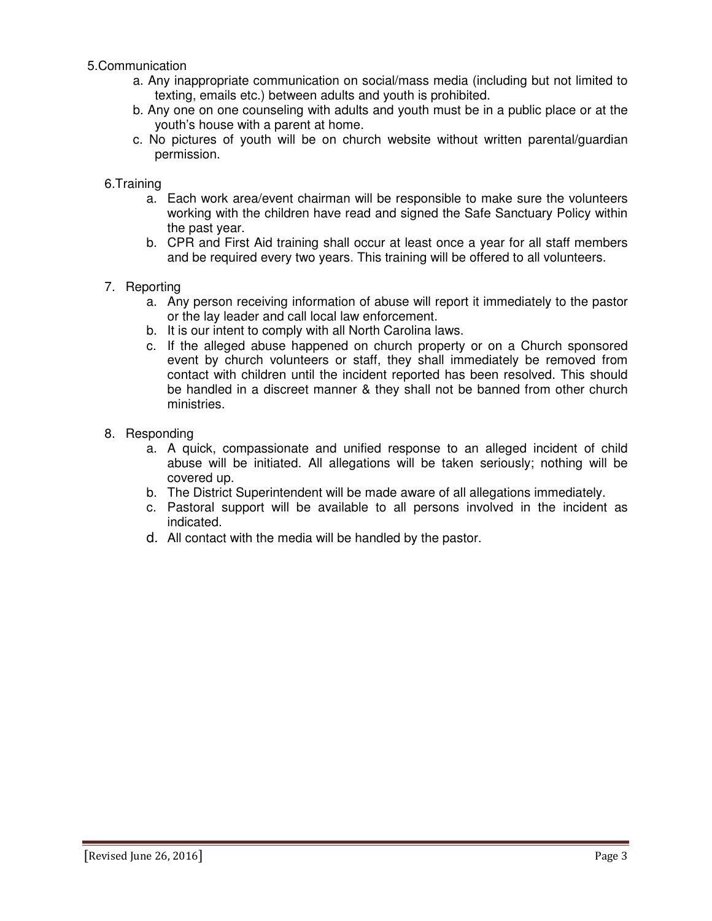### 5.Communication

- a. Any inappropriate communication on social/mass media (including but not limited to texting, emails etc.) between adults and youth is prohibited.
- b. Any one on one counseling with adults and youth must be in a public place or at the youth's house with a parent at home.
- c. No pictures of youth will be on church website without written parental/guardian permission.

#### 6.Training

- a. Each work area/event chairman will be responsible to make sure the volunteers working with the children have read and signed the Safe Sanctuary Policy within the past year.
- b. CPR and First Aid training shall occur at least once a year for all staff members and be required every two years. This training will be offered to all volunteers.
- 7. Reporting
	- a. Any person receiving information of abuse will report it immediately to the pastor or the lay leader and call local law enforcement.
	- b. It is our intent to comply with all North Carolina laws.
	- c. If the alleged abuse happened on church property or on a Church sponsored event by church volunteers or staff, they shall immediately be removed from contact with children until the incident reported has been resolved. This should be handled in a discreet manner & they shall not be banned from other church ministries.
- 8. Responding
	- a. A quick, compassionate and unified response to an alleged incident of child abuse will be initiated. All allegations will be taken seriously; nothing will be covered up.
	- b. The District Superintendent will be made aware of all allegations immediately.
	- c. Pastoral support will be available to all persons involved in the incident as indicated.
	- d. All contact with the media will be handled by the pastor.